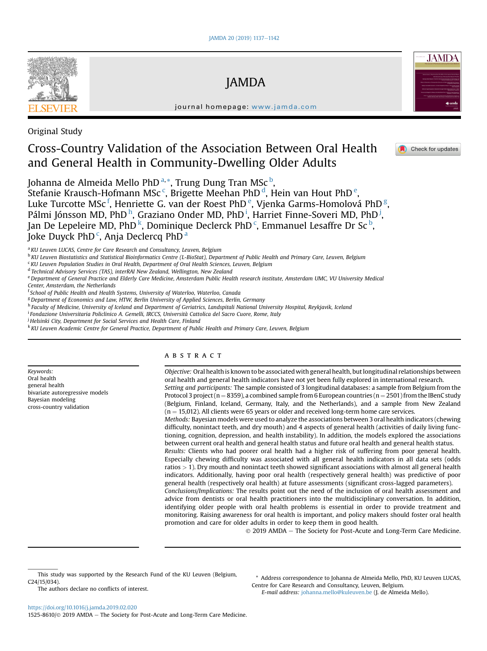[JAMDA 20 \(2019\) 1137](https://doi.org/10.1016/j.jamda.2019.02.020)-[1142](https://doi.org/10.1016/j.jamda.2019.02.020)

JAMDA

journal homepage: [www.jamda.com](http://www.jamda.com)

Original Study

# Cross-Country Validation of the Association Between Oral Health and General Health in Community-Dwelling Older Adults



Stefanie Krausch-Hofmann MSc<sup>c</sup>, Brigette Meehan PhD<sup>d</sup>, Hein van Hout PhD<sup>e</sup>, Luke Turcotte MSc <sup>f</sup>, Henriette G. van der Roest PhD <sup>e</sup>, Vjenka Garms-Homolová PhD <sup>g</sup>, Pálmi Jónsson MD, PhD<sup>h</sup>, Graziano Onder MD, PhD<sup>i</sup>, Harriet Finne-Soveri MD, PhD<sup>j</sup>, Jan De Lepeleire MD, PhD <sup>k</sup>, Dominique Declerck PhD <sup>c</sup>, Emmanuel Lesaffre Dr Sc <sup>b</sup>, Joke Duyck PhD<sup>c</sup>, Anja Declercq PhD<sup>a</sup>

<sup>a</sup> KU Leuven LUCAS, Centre for Care Research and Consultancy, Leuven, Belgium

<sup>b</sup> KU Leuven Biostatistics and Statistical Bioinformatics Centre (L-BioStat), Department of Public Health and Primary Care, Leuven, Belgium

<sup>c</sup> KU Leuven Population Studies in Oral Health, Department of Oral Health Sciences, Leuven, Belgium

<sup>d</sup> Technical Advisory Services (TAS), interRAI New Zealand, Wellington, New Zealand

e Department of General Practice and Elderly Care Medicine, Amsterdam Public Health research institute, Amsterdam UMC, VU University Medical Center, Amsterdam, the Netherlands

<sup>f</sup> School of Public Health and Health Systems, University of Waterloo, Waterloo, Canada

<sup>g</sup> Department of Economics and Law, HTW, Berlin University of Applied Sciences, Berlin, Germany

<sup>h</sup> Faculty of Medicine, University of Iceland and Department of Geriatrics, Landspitali National University Hospital, Reykjavik, Iceland

i Fondazione Universitaria Policlinico A. Gemelli, IRCCS, Università Cattolica del Sacro Cuore, Rome, Italy

<sup>j</sup> Helsinki City, Department for Social Services and Health Care, Finland

<sup>k</sup> KU Leuven Academic Centre for General Practice, Department of Public Health and Primary Care, Leuven, Belgium

Keywords: Oral health general health bivariate autoregressive models Bayesian modeling cross-country validation

# ABSTRACT

Objective: Oral health is known to be associated with general health, but longitudinal relationships between oral health and general health indicators have not yet been fully explored in international research. Setting and participants: The sample consisted of 3 longitudinal databases: a sample from Belgium from the Protocol 3 project ( $n = 8359$ ), a combined sample from 6 European countries ( $n = 2501$ ) from the IBenC study (Belgium, Finland, Iceland, Germany, Italy, and the Netherlands), and a sample from New Zealand  $(n = 15,012)$ . All clients were 65 years or older and received long-term home care services.

Methods: Bayesian models were used to analyze the associations between 3 oral health indicators (chewing difficulty, nonintact teeth, and dry mouth) and 4 aspects of general health (activities of daily living functioning, cognition, depression, and health instability). In addition, the models explored the associations between current oral health and general health status and future oral health and general health status.

Results: Clients who had poorer oral health had a higher risk of suffering from poor general health. Especially chewing difficulty was associated with all general health indicators in all data sets (odds ratios  $>$  1). Dry mouth and nonintact teeth showed significant associations with almost all general health indicators. Additionally, having poor oral health (respectively general health) was predictive of poor general health (respectively oral health) at future assessments (significant cross-lagged parameters).

Conclusions/Implications: The results point out the need of the inclusion of oral health assessment and advice from dentists or oral health practitioners into the multidisciplinary conversation. In addition, identifying older people with oral health problems is essential in order to provide treatment and monitoring. Raising awareness for oral health is important, and policy makers should foster oral health promotion and care for older adults in order to keep them in good health.

2019 AMDA e The Society for Post-Acute and Long-Term Care Medicine.

This study was supported by the Research Fund of the KU Leuven (Belgium, C24/15/034).

The authors declare no conflicts of interest.

\* Address correspondence to Johanna de Almeida Mello, PhD, KU Leuven LUCAS, Centre for Care Research and Consultancy, Leuven, Belgium.

E-mail address: [johanna.mello@kuleuven.be](mailto:johanna.mello@kuleuven.be) (J. de Almeida Mello).



Check for updates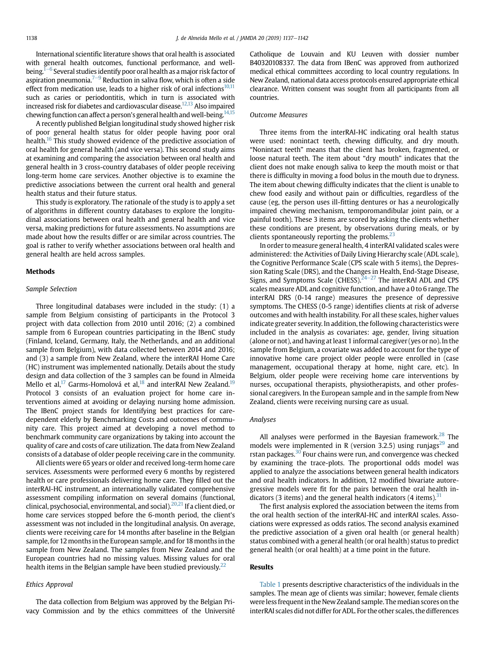International scientific literature shows that oral health is associated with general health outcomes, functional performance, and well-being.<sup>[1](#page-5-0)–[6](#page-5-0)</sup> Several studies identify poor oral health as a major risk factor of aspiration pneumonia.<sup>7-[9](#page-5-0)</sup> Reduction in saliva flow, which is often a side effect from medication use, leads to a higher risk of oral infections<sup>10,11</sup> such as caries or periodontitis, which in turn is associated with increased risk for diabetes and cardiovascular disease.<sup>[12,13](#page-5-0)</sup> Also impaired chewing function can affect a person's general health and well-being.  $14,15$ 

A recently published Belgian longitudinal study showed higher risk of poor general health status for older people having poor oral health.<sup>16</sup> This study showed evidence of the predictive association of oral health for general health (and vice versa). This second study aims at examining and comparing the association between oral health and general health in 3 cross-country databases of older people receiving long-term home care services. Another objective is to examine the predictive associations between the current oral health and general health status and their future status.

This study is exploratory. The rationale of the study is to apply a set of algorithms in different country databases to explore the longitudinal associations between oral health and general health and vice versa, making predictions for future assessments. No assumptions are made about how the results differ or are similar across countries. The goal is rather to verify whether associations between oral health and general health are held across samples.

# Methods

# Sample Selection

Three longitudinal databases were included in the study: (1) a sample from Belgium consisting of participants in the Protocol 3 project with data collection from 2010 until 2016; (2) a combined sample from 6 European countries participating in the IBenC study (Finland, Iceland, Germany, Italy, the Netherlands, and an additional sample from Belgium), with data collected between 2014 and 2016; and (3) a sample from New Zealand, where the interRAI Home Care (HC) instrument was implemented nationally. Details about the study design and data collection of the 3 samples can be found in Almeida Mello et al,<sup>17</sup> Garms-Homolová et al,<sup>[18](#page-5-0)</sup> and interRAI New Zealand.<sup>19</sup> Protocol 3 consists of an evaluation project for home care interventions aimed at avoiding or delaying nursing home admission. The IBenC project stands for Identifying best practices for caredependent elderly by Benchmarking Costs and outcomes of community care. This project aimed at developing a novel method to benchmark community care organizations by taking into account the quality of care and costs of care utilization. The data from New Zealand consists of a database of older people receiving care in the community.

All clients were 65 years or older and received long-term home care services. Assessments were performed every 6 months by registered health or care professionals delivering home care. They filled out the interRAI-HC instrument, an internationally validated comprehensive assessment compiling information on several domains (functional, clinical, psychosocial, environmental, and social).[20,21](#page-5-0) If a client died, or home care services stopped before the 6-month period, the client's assessment was not included in the longitudinal analysis. On average, clients were receiving care for 14 months after baseline in the Belgian sample, for 12 months in the European sample, and for 18 months in the sample from New Zealand. The samples from New Zealand and the European countries had no missing values. Missing values for oral health items in the Belgian sample have been studied previously.<sup>[22](#page-5-0)</sup>

### Ethics Approval

The data collection from Belgium was approved by the Belgian Privacy Commission and by the ethics committees of the Université Catholique de Louvain and KU Leuven with dossier number B40320108337. The data from IBenC was approved from authorized medical ethical committees according to local country regulations. In New Zealand, national data access protocols ensured appropriate ethical clearance. Written consent was sought from all participants from all countries.

# Outcome Measures

Three items from the interRAI-HC indicating oral health status were used: nonintact teeth, chewing difficulty, and dry mouth. "Nonintact teeth" means that the client has broken, fragmented, or loose natural teeth. The item about "dry mouth" indicates that the client does not make enough saliva to keep the mouth moist or that there is difficulty in moving a food bolus in the mouth due to dryness. The item about chewing difficulty indicates that the client is unable to chew food easily and without pain or difficulties, regardless of the cause (eg, the person uses ill-fitting dentures or has a neurologically impaired chewing mechanism, temporomandibular joint pain, or a painful tooth). These 3 items are scored by asking the clients whether these conditions are present, by observations during meals, or by clients spontaneously reporting the problems. $^{23}$  $^{23}$  $^{23}$ 

In order to measure general health, 4 interRAI validated scales were administered: the Activities of Daily Living Hierarchy scale (ADL scale), the Cognitive Performance Scale (CPS scale with 5 items), the Depression Rating Scale (DRS), and the Changes in Health, End-Stage Disease, Signs, and Symptoms Scale (CHESS). $24-27$  $24-27$  $24-27$  The interRAI ADL and CPS scales measure ADL and cognitive function, and have a 0 to 6 range. The interRAI DRS (0-14 range) measures the presence of depressive symptoms. The CHESS (0-5 range) identifies clients at risk of adverse outcomes and with health instability. For all these scales, higher values indicate greater severity. In addition, the following characteristics were included in the analysis as covariates: age, gender, living situation (alone or not), and having at least 1 informal caregiver (yes or no). In the sample from Belgium, a covariate was added to account for the type of innovative home care project older people were enrolled in (case management, occupational therapy at home, night care, etc). In Belgium, older people were receiving home care interventions by nurses, occupational therapists, physiotherapists, and other professional caregivers. In the European sample and in the sample from New Zealand, clients were receiving nursing care as usual.

#### Analyses

All analyses were performed in the Bayesian framework.<sup>[28](#page-5-0)</sup> The models were implemented in R (version 3.2.5) using runjags<sup>[29](#page-5-0)</sup> and rstan packages.<sup>[30](#page-5-0)</sup> Four chains were run, and convergence was checked by examining the trace-plots. The proportional odds model was applied to analyze the associations between general health indicators and oral health indicators. In addition, 12 modified bivariate autoregressive models were fit for the pairs between the oral health indicators (3 items) and the general health indicators (4 items). $31$ 

The first analysis explored the association between the items from the oral health section of the interRAI-HC and interRAI scales. Associations were expressed as odds ratios. The second analysis examined the predictive association of a given oral health (or general health) status combined with a general health (or oral health) status to predict general health (or oral health) at a time point in the future.

#### Results

[Table 1](#page-2-0) presents descriptive characteristics of the individuals in the samples. The mean age of clients was similar; however, female clients were less frequent in the New Zealand sample. Themedian scores on the interRAI scales did not differ for ADL. For the other scales, the differences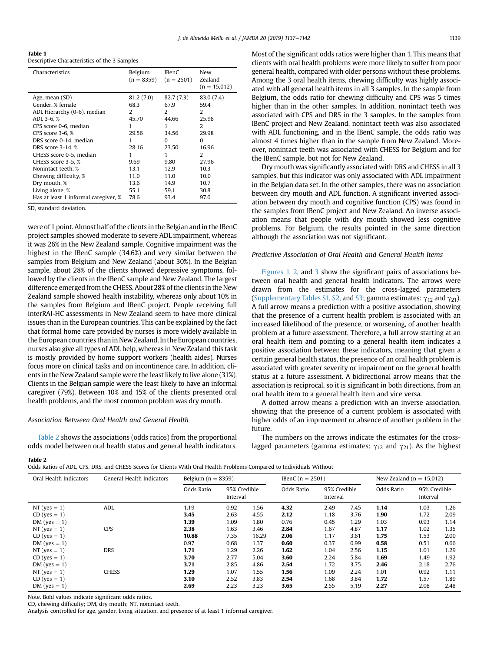<span id="page-2-0"></span>Table 1 Descriptive Characteristics of the 3 Samples

| Characteristics                      | Belgium<br>$(n = 8359)$ | <b>IBenC</b><br>$(n = 2501)$ | New<br>Zealand<br>$(n = 15,012)$ |
|--------------------------------------|-------------------------|------------------------------|----------------------------------|
| Age, mean (SD)                       | 81.2 (7.0)              | 82.7(7.3)                    | 83.0 (7.4)                       |
| Gender, % female                     | 68.3                    | 67.9                         | 59.4                             |
| ADL Hierarchy (0-6), median          | 2                       | 2                            | 2                                |
| ADL 3-6, %                           | 45.70                   | 44.66                        | 25.98                            |
| CPS score 0-6, median                | 1                       | 1                            | 2                                |
| CPS score 3-6, %                     | 29.56                   | 34.56                        | 29.98                            |
| DRS score 0-14, median               | 1                       | 0                            | $\Omega$                         |
| DRS score 3-14, %                    | 28.16                   | 23.50                        | 16.96                            |
| CHESS score 0-5, median              | 1                       | 1                            | 2                                |
| CHESS score 3-5, %                   | 9.69                    | 9.80                         | 27.96                            |
| Nonintact teeth. %                   | 13.1                    | 12.9                         | 10.3                             |
| Chewing difficulty, %                | 11.0                    | 11.0                         | 10.0                             |
| Dry mouth, %                         | 13.6                    | 14.9                         | 10.7                             |
| Living alone, %                      | 55.1                    | 59.1                         | 30.8                             |
| Has at least 1 informal caregiver, % | 78.6                    | 93.4                         | 97.0                             |

SD, standard deviation.

were of 1 point. Almost half of the clients in the Belgian and in the IBenC project samples showed moderate to severe ADL impairment, whereas it was 26% in the New Zealand sample. Cognitive impairment was the highest in the IBenC sample (34.6%) and very similar between the samples from Belgium and New Zealand (about 30%). In the Belgian sample, about 28% of the clients showed depressive symptoms, followed by the clients in the IBenC sample and New Zealand. The largest difference emerged from the CHESS. About 28% of the clients in the New Zealand sample showed health instability, whereas only about 10% in the samples from Belgium and IBenC project. People receiving full interRAI-HC assessments in New Zealand seem to have more clinical issues than in the European countries. This can be explained by the fact that formal home care provided by nurses is more widely available in the European countries than in New Zealand. In the European countries, nurses also give all types of ADL help, whereas in New Zealand this task is mostly provided by home support workers (health aides). Nurses focus more on clinical tasks and on incontinence care. In addition, clients in the New Zealand sample were the least likely to live alone (31%). Clients in the Belgian sample were the least likely to have an informal caregiver (79%). Between 10% and 15% of the clients presented oral health problems, and the most common problem was dry mouth.

# Association Between Oral Health and General Health

Table 2 shows the associations (odds ratios) from the proportional odds model between oral health status and general health indicators. Most of the significant odds ratios were higher than 1. This means that clients with oral health problems were more likely to suffer from poor general health, compared with older persons without these problems. Among the 3 oral health items, chewing difficulty was highly associated with all general health items in all 3 samples. In the sample from Belgium, the odds ratio for chewing difficulty and CPS was 5 times higher than in the other samples. In addition, nonintact teeth was associated with CPS and DRS in the 3 samples. In the samples from IBenC project and New Zealand, nonintact teeth was also associated with ADL functioning, and in the IBenC sample, the odds ratio was almost 4 times higher than in the sample from New Zealand. Moreover, nonintact teeth was associated with CHESS for Belgium and for the IBenC sample, but not for New Zealand.

Dry mouth was significantly associated with DRS and CHESS in all 3 samples, but this indicator was only associated with ADL impairment in the Belgian data set. In the other samples, there was no association between dry mouth and ADL function. A significant inverted association between dry mouth and cognitive function (CPS) was found in the samples from IBenC project and New Zealand. An inverse association means that people with dry mouth showed less cognitive problems. For Belgium, the results pointed in the same direction although the association was not significant.

# Predictive Association of Oral Health and General Health Items

[Figures 1, 2,](#page-3-0) and [3](#page-3-0) show the significant pairs of associations between oral health and general health indicators. The arrows were drawn from the estimates for the cross-lagged parameters [\(Supplementary Tables S1, S2,](#page-6-0) and [S3;](#page-7-0) gamma estimates:  $\gamma_{12}$  and  $\gamma_{21}$ ). A full arrow means a prediction with a positive association, showing that the presence of a current health problem is associated with an increased likelihood of the presence, or worsening, of another health problem at a future assessment. Therefore, a full arrow starting at an oral health item and pointing to a general health item indicates a positive association between these indicators, meaning that given a certain general health status, the presence of an oral health problem is associated with greater severity or impairment on the general health status at a future assessment. A bidirectional arrow means that the association is reciprocal, so it is significant in both directions, from an oral health item to a general health item and vice versa.

A dotted arrow means a prediction with an inverse association, showing that the presence of a current problem is associated with higher odds of an improvement or absence of another problem in the future.

The numbers on the arrows indicate the estimates for the crosslagged parameters (gamma estimates:  $\gamma_{12}$  and  $\gamma_{21}$ ). As the highest

#### Table 2

Odds Ratios of ADL, CPS, DRS, and CHESS Scores for Clients With Oral Health Problems Compared to Individuals Without

| Oral Health Indicators | General Health Indicators | Belgium ( $n = 8359$ ) |                          |       | IBenC $(n = 2501)$ |                          |      | New Zealand ( $n = 15,012$ ) |      |                          |  |
|------------------------|---------------------------|------------------------|--------------------------|-------|--------------------|--------------------------|------|------------------------------|------|--------------------------|--|
|                        |                           | Odds Ratio             | 95% Credible<br>Interval |       | Odds Ratio         | 95% Credible<br>Interval |      | Odds Ratio                   |      | 95% Credible<br>Interval |  |
| NT (yes $= 1$ )        | <b>ADL</b>                | 1.19                   | 0.92                     | 1.56  | 4.32               | 2.49                     | 7.45 | 1.14                         | 1.03 | 1.26                     |  |
| $CD (ves = 1)$         |                           | 3.45                   | 2.63                     | 4.55  | 2.12               | 1.18                     | 3.76 | 1.90                         | 1.72 | 2.09                     |  |
| $DM (yes = 1)$         |                           | 1.39                   | 1.09                     | 1.80  | 0.76               | 0.45                     | 1.29 | 1.03                         | 0.93 | 1.14                     |  |
| NT (yes $= 1$ )        | <b>CPS</b>                | 2.38                   | 1.63                     | 3.46  | 2.84               | 1.67                     | 4.87 | 1.17                         | 1.02 | 1.35                     |  |
| $CD (yes = 1)$         |                           | 10.88                  | 7.35                     | 16.29 | 2.06               | 1.17                     | 3.61 | 1.75                         | 1.53 | 2.00                     |  |
| $DM (yes = 1)$         |                           | 0.97                   | 0.68                     | 1.37  | 0.60               | 0.37                     | 0.99 | 0.58                         | 0.51 | 0.66                     |  |
| NT ( $ves = 1$ )       | <b>DRS</b>                | 1.71                   | 1.29                     | 2.26  | 1.62               | 1.04                     | 2.56 | 1.15                         | 1.01 | 1.29                     |  |
| $CD (yes = 1)$         |                           | 3.70                   | 2.77                     | 5.04  | 3.60               | 2.24                     | 5.84 | 1.69                         | 1.49 | 1.92                     |  |
| $DM (yes = 1)$         |                           | 3.71                   | 2.85                     | 4.86  | 2.54               | 1.72                     | 3.75 | 2.46                         | 2.18 | 2.76                     |  |
| NT (yes $= 1$ )        | <b>CHESS</b>              | 1.29                   | 1.07                     | 1.55  | 1.56               | 1.09                     | 2.24 | 1.01                         | 0.92 | 1.11                     |  |
| $CD (ves = 1)$         |                           | 3.10                   | 2.52                     | 3.83  | 2.54               | 1.68                     | 3.84 | 1.72                         | 1.57 | 1.89                     |  |
| DM ( $ves = 1$ )       |                           | 2.69                   | 2.23                     | 3.23  | 3.65               | 2.55                     | 5.19 | 2.27                         | 2.08 | 2.48                     |  |

Note. Bold values indicate significant odds ratios.

CD, chewing difficulty; DM, dry mouth; NT, nonintact teeth.

Analysis controlled for age, gender, living situation, and presence of at least 1 informal caregiver.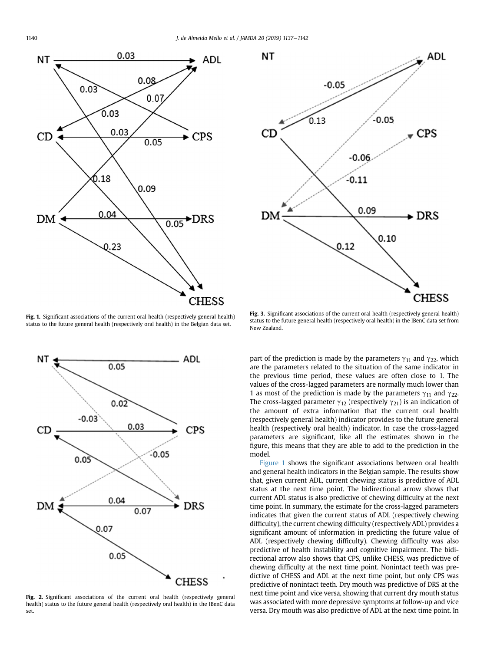<span id="page-3-0"></span>

Fig. 1. Significant associations of the current oral health (respectively general health) status to the future general health (respectively oral health) in the Belgian data set.



Fig. 2. Significant associations of the current oral health (respectively general health) status to the future general health (respectively oral health) in the IBenC data set.



Fig. 3. Significant associations of the current oral health (respectively general health) status to the future general health (respectively oral health) in the IBenC data set from New Zealand.

part of the prediction is made by the parameters  $\gamma_{11}$  and  $\gamma_{22}$ , which are the parameters related to the situation of the same indicator in the previous time period, these values are often close to 1. The values of the cross-lagged parameters are normally much lower than 1 as most of the prediction is made by the parameters  $\gamma_{11}$  and  $\gamma_{22}$ . The cross-lagged parameter  $\gamma_{12}$  (respectively  $\gamma_{21}$ ) is an indication of the amount of extra information that the current oral health (respectively general health) indicator provides to the future general health (respectively oral health) indicator. In case the cross-lagged parameters are significant, like all the estimates shown in the figure, this means that they are able to add to the prediction in the model.

Figure 1 shows the significant associations between oral health and general health indicators in the Belgian sample. The results show that, given current ADL, current chewing status is predictive of ADL status at the next time point. The bidirectional arrow shows that current ADL status is also predictive of chewing difficulty at the next time point. In summary, the estimate for the cross-lagged parameters indicates that given the current status of ADL (respectively chewing difficulty), the current chewing difficulty (respectively ADL) provides a significant amount of information in predicting the future value of ADL (respectively chewing difficulty). Chewing difficulty was also predictive of health instability and cognitive impairment. The bidirectional arrow also shows that CPS, unlike CHESS, was predictive of chewing difficulty at the next time point. Nonintact teeth was predictive of CHESS and ADL at the next time point, but only CPS was predictive of nonintact teeth. Dry mouth was predictive of DRS at the next time point and vice versa, showing that current dry mouth status was associated with more depressive symptoms at follow-up and vice versa. Dry mouth was also predictive of ADL at the next time point. In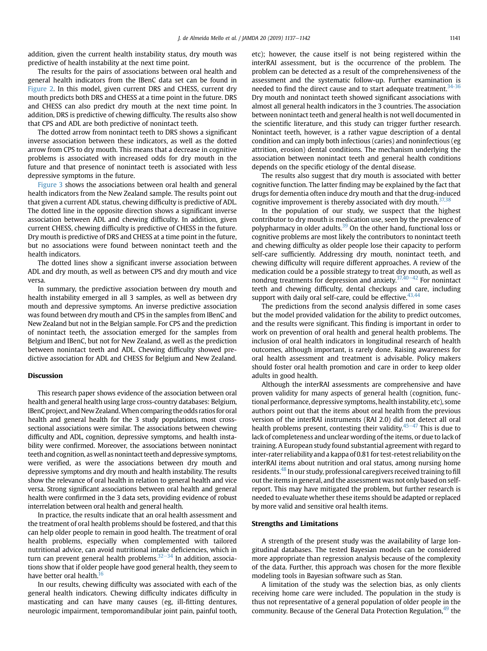addition, given the current health instability status, dry mouth was predictive of health instability at the next time point.

The results for the pairs of associations between oral health and general health indicators from the IBenC data set can be found in [Figure 2](#page-3-0). In this model, given current DRS and CHESS, current dry mouth predicts both DRS and CHESS at a time point in the future. DRS and CHESS can also predict dry mouth at the next time point. In addition, DRS is predictive of chewing difficulty. The results also show that CPS and ADL are both predictive of nonintact teeth.

The dotted arrow from nonintact teeth to DRS shows a significant inverse association between these indicators, as well as the dotted arrow from CPS to dry mouth. This means that a decrease in cognitive problems is associated with increased odds for dry mouth in the future and that presence of nonintact teeth is associated with less depressive symptoms in the future.

[Figure 3](#page-3-0) shows the associations between oral health and general health indicators from the New Zealand sample. The results point out that given a current ADL status, chewing difficulty is predictive of ADL. The dotted line in the opposite direction shows a significant inverse association between ADL and chewing difficulty. In addition, given current CHESS, chewing difficulty is predictive of CHESS in the future. Dry mouth is predictive of DRS and CHESS at a time point in the future, but no associations were found between nonintact teeth and the health indicators.

The dotted lines show a significant inverse association between ADL and dry mouth, as well as between CPS and dry mouth and vice versa.

In summary, the predictive association between dry mouth and health instability emerged in all 3 samples, as well as between dry mouth and depressive symptoms. An inverse predictive association was found between dry mouth and CPS in the samples from IBenC and New Zealand but not in the Belgian sample. For CPS and the prediction of nonintact teeth, the association emerged for the samples from Belgium and IBenC, but not for New Zealand, as well as the prediction between nonintact teeth and ADL. Chewing difficulty showed predictive association for ADL and CHESS for Belgium and New Zealand.

# Discussion

This research paper shows evidence of the association between oral health and general health using large cross-country databases: Belgium, IBenC project, and New Zealand.When comparing the odds ratios for oral health and general health for the 3 study populations, most crosssectional associations were similar. The associations between chewing difficulty and ADL, cognition, depressive symptoms, and health instability were confirmed. Moreover, the associations between nonintact teeth and cognition, aswell as nonintact teeth and depressive symptoms, were verified, as were the associations between dry mouth and depressive symptoms and dry mouth and health instability. The results show the relevance of oral health in relation to general health and vice versa. Strong significant associations between oral health and general health were confirmed in the 3 data sets, providing evidence of robust interrelation between oral health and general health.

In practice, the results indicate that an oral health assessment and the treatment of oral health problems should be fostered, and that this can help older people to remain in good health. The treatment of oral health problems, especially when complemented with tailored nutritional advice, can avoid nutritional intake deficiencies, which in turn can prevent general health problems. $32-34$  $32-34$  $32-34$  In addition, associations show that if older people have good general health, they seem to have better oral health.<sup>16</sup>

In our results, chewing difficulty was associated with each of the general health indicators. Chewing difficulty indicates difficulty in masticating and can have many causes (eg, ill-fitting dentures, neurologic impairment, temporomandibular joint pain, painful tooth, etc); however, the cause itself is not being registered within the interRAI assessment, but is the occurrence of the problem. The problem can be detected as a result of the comprehensiveness of the assessment and the systematic follow-up. Further examination is needed to find the direct cause and to start adequate treatment.  $34-36$ Dry mouth and nonintact teeth showed significant associations with almost all general health indicators in the 3 countries. The association between nonintact teeth and general health is not well documented in the scientific literature, and this study can trigger further research. Nonintact teeth, however, is a rather vague description of a dental condition and can imply both infectious (caries) and noninfectious (eg attrition, erosion) dental conditions. The mechanism underlying the association between nonintact teeth and general health conditions depends on the specific etiology of the dental disease.

The results also suggest that dry mouth is associated with better cognitive function. The latter finding may be explained by the fact that drugs for dementia often induce dry mouth and that the drug-induced cognitive improvement is thereby associated with dry mouth.<sup>[37,38](#page-5-0)</sup>

In the population of our study, we suspect that the highest contributor to dry mouth is medication use, seen by the prevalence of polypharmacy in older adults.<sup>39</sup> On the other hand, functional loss or cognitive problems are most likely the contributors to nonintact teeth and chewing difficulty as older people lose their capacity to perform self-care sufficiently. Addressing dry mouth, nonintact teeth, and chewing difficulty will require different approaches. A review of the medication could be a possible strategy to treat dry mouth, as well as nondrug treatments for depression and anxiety. $37,40-42$  $37,40-42$  $37,40-42$  For nonintact teeth and chewing difficulty, dental checkups and care, including support with daily oral self-care, could be effective. $43,44$ 

The predictions from the second analysis differed in some cases but the model provided validation for the ability to predict outcomes, and the results were significant. This finding is important in order to work on prevention of oral health and general health problems. The inclusion of oral health indicators in longitudinal research of health outcomes, although important, is rarely done. Raising awareness for oral health assessment and treatment is advisable. Policy makers should foster oral health promotion and care in order to keep older adults in good health.

Although the interRAI assessments are comprehensive and have proven validity for many aspects of general health (cognition, functional performance, depressive symptoms, health instability, etc), some authors point out that the items about oral health from the previous version of the interRAI instruments (RAI 2.0) did not detect all oral health problems present, contesting their validity. $45-47$  $45-47$  This is due to lack of completeness and unclear wording of the items, or due to lack of training. A European study found substantial agreement with regard to inter-rater reliability and a kappa of 0.81 for test-retest reliability on the interRAI items about nutrition and oral status, among nursing home residents.<sup>48</sup> In our study, professional caregivers received training to fill out the items in general, and the assessment was not only based on selfreport. This may have mitigated the problem, but further research is needed to evaluate whether these items should be adapted or replaced by more valid and sensitive oral health items.

#### Strengths and Limitations

A strength of the present study was the availability of large longitudinal databases. The tested Bayesian models can be considered more appropriate than regression analysis because of the complexity of the data. Further, this approach was chosen for the more flexible modeling tools in Bayesian software such as Stan.

A limitation of the study was the selection bias, as only clients receiving home care were included. The population in the study is thus not representative of a general population of older people in the community. Because of the General Data Protection Regulation,<sup>[49](#page-5-0)</sup> the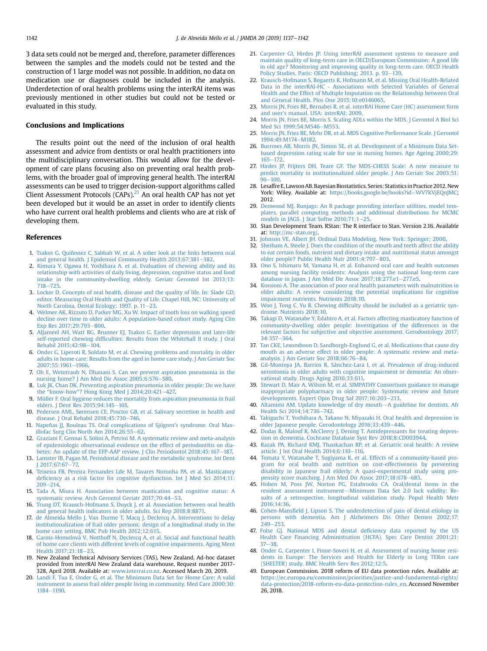<span id="page-5-0"></span>3 data sets could not be merged and, therefore, parameter differences between the samples and the models could not be tested and the construction of 1 large model was not possible. In addition, no data on medication use or diagnoses could be included in the analysis. Underdetection of oral health problems using the interRAI items was previously mentioned in other studies but could not be tested or evaluated in this study.

# Conclusions and Implications

The results point out the need of the inclusion of oral health assessment and advice from dentists or oral health practitioners into the multidisciplinary conversation. This would allow for the development of care plans focusing also on preventing oral health problems, with the broader goal of improving general health. The interRAI assessments can be used to trigger decision-support algorithms called Client Assessment Protocols (CAPs). $^{21}$  An oral health CAP has not yet been developed but it would be an asset in order to identify clients who have current oral health problems and clients who are at risk of developing them.

#### References

- 1. [Tsakos G, Quiñonez C, Sabbah W, et al. A sober look at the links between oral](http://refhub.elsevier.com/S1525-8610(19)30246-4/sref1) [and general health. J Epidemiol Community Health 2013;67:381](http://refhub.elsevier.com/S1525-8610(19)30246-4/sref1)-[382.](http://refhub.elsevier.com/S1525-8610(19)30246-4/sref1)
- 2. [Kimura Y, Ogawa H, Yoshihara A, et al. Evaluation of chewing ability and its](http://refhub.elsevier.com/S1525-8610(19)30246-4/sref2) [relationship with activities of daily living, depression, cognitive status and food](http://refhub.elsevier.com/S1525-8610(19)30246-4/sref2) [intake in the community-dwelling elderly. Geriatr Gerontol Int 2013;13:](http://refhub.elsevier.com/S1525-8610(19)30246-4/sref2) [718](http://refhub.elsevier.com/S1525-8610(19)30246-4/sref2)-[725](http://refhub.elsevier.com/S1525-8610(19)30246-4/sref2)
- 3. [Locker D. Concepts of oral health, disease and the quality of life. In: Slade GD,](http://refhub.elsevier.com/S1525-8610(19)30246-4/sref3) [editor. Measuring Oral Health and Quality of Life. Chapel Hill, NC: University of](http://refhub.elsevier.com/S1525-8610(19)30246-4/sref3) [North Carolina, Dental Ecology; 1997. p. 11](http://refhub.elsevier.com/S1525-8610(19)30246-4/sref3)-[23](http://refhub.elsevier.com/S1525-8610(19)30246-4/sref3).
- 4. [Welmer AK, Rizzuto D, Parker MG, Xu W. Impact of tooth loss on walking speed](http://refhub.elsevier.com/S1525-8610(19)30246-4/sref4) [decline over time in older adults: A population-based cohort study. Aging Clin](http://refhub.elsevier.com/S1525-8610(19)30246-4/sref4) [Exp Res 2017;29:793](http://refhub.elsevier.com/S1525-8610(19)30246-4/sref4)-[800](http://refhub.elsevier.com/S1525-8610(19)30246-4/sref4).
- 5. [AlJameel AH, Watt RG, Brunner EJ, Tsakos G. Earlier depression and later-life](http://refhub.elsevier.com/S1525-8610(19)30246-4/sref5) self-reported chewing diffi[culties: Results from the Whitehall II study. J Oral](http://refhub.elsevier.com/S1525-8610(19)30246-4/sref5) Rehabil 2015:42:98-[104](http://refhub.elsevier.com/S1525-8610(19)30246-4/sref5).
- 6. [Onder G, Liperoti R, Soldato M, et al. Chewing problems and mortality in older](http://refhub.elsevier.com/S1525-8610(19)30246-4/sref6) [adults in home care: Results from the aged in home care study. J Am Geriatr Soc](http://refhub.elsevier.com/S1525-8610(19)30246-4/sref6)  $2007:55:1961 - 1966$
- 7. [Oh E, Weintraub N, Dhanani S. Can we prevent aspiration pneumonia in the](http://refhub.elsevier.com/S1525-8610(19)30246-4/sref7) [nursing home? J Am Med Dir Assoc 2005;6:S76](http://refhub.elsevier.com/S1525-8610(19)30246-4/sref7)-[S80](http://refhub.elsevier.com/S1525-8610(19)30246-4/sref7).
- 8. [Luk JK, Chan DK. Preventing aspiration pneumonia in older people: Do we have](http://refhub.elsevier.com/S1525-8610(19)30246-4/sref8) the "know-how"[? Hong Kong Med J 2014;20:421](http://refhub.elsevier.com/S1525-8610(19)30246-4/sref8)-[427.](http://refhub.elsevier.com/S1525-8610(19)30246-4/sref8)
- 9. [Müller F. Oral hygiene reduces the mortality from aspiration pneumonia in frail](http://refhub.elsevier.com/S1525-8610(19)30246-4/sref9) [elders. J Dent Res 2015;94:14S](http://refhub.elsevier.com/S1525-8610(19)30246-4/sref9)-[16S](http://refhub.elsevier.com/S1525-8610(19)30246-4/sref9).
- 10. [Pedersen AML, Sørensen CE, Proctor GB, et al. Salivary secretion in health and](http://refhub.elsevier.com/S1525-8610(19)30246-4/sref10) [disease. J Oral Rehabil 2018;45:730](http://refhub.elsevier.com/S1525-8610(19)30246-4/sref10)-[746](http://refhub.elsevier.com/S1525-8610(19)30246-4/sref10).
- 11. [Napeñas JJ, Rouleau TS. Oral complications of Sjögren](http://refhub.elsevier.com/S1525-8610(19)30246-4/sref11)'s syndrome. Oral Max[illofac Surg Clin North Am 2014;26:55](http://refhub.elsevier.com/S1525-8610(19)30246-4/sref11)-[62.](http://refhub.elsevier.com/S1525-8610(19)30246-4/sref11)
- 12. [Graziani F, Gennai S, Solini A, Petrini M. A systematic review and meta-analysis](http://refhub.elsevier.com/S1525-8610(19)30246-4/sref12) [of epidemiologic observational evidence on the effect of periodontitis on dia](http://refhub.elsevier.com/S1525-8610(19)30246-4/sref12)[betes: An update of the EFP-AAP review. J Clin Periodontol 2018;45:167](http://refhub.elsevier.com/S1525-8610(19)30246-4/sref12)-[187.](http://refhub.elsevier.com/S1525-8610(19)30246-4/sref12)
- 13. [Lamster IB, Pagan M. Periodontal disease and the metabolic syndrome. Int Dent](http://refhub.elsevier.com/S1525-8610(19)30246-4/sref13) 2017;67:67-[77.](http://refhub.elsevier.com/S1525-8610(19)30246-4/sref13)
- 14. [Teixeira FB, Pereira Fernandes Lde M, Tavares Noronha PA, et al. Masticatory](http://refhub.elsevier.com/S1525-8610(19)30246-4/sref14) defi[ciency as a risk factor for cognitive dysfunction. Int J Med Sci 2014;11:](http://refhub.elsevier.com/S1525-8610(19)30246-4/sref14)  $209 - 214$  $209 - 214$ .
- 15. [Tada A, Miura H. Association between mastication and cognitive status: A](http://refhub.elsevier.com/S1525-8610(19)30246-4/sref15) [systematic review. Arch Gerontol Geriatr 2017;70:44](http://refhub.elsevier.com/S1525-8610(19)30246-4/sref15)-[53](http://refhub.elsevier.com/S1525-8610(19)30246-4/sref15).
- 16. [Trung DT, Krausch-Hofmann S, Duyck J, et al. Association between oral health](http://refhub.elsevier.com/S1525-8610(19)30246-4/sref16) [and general health indicators in older adults. Sci Rep 2018;8:8871.](http://refhub.elsevier.com/S1525-8610(19)30246-4/sref16)
- 17. [de Almeida Mello J, Van Durme T, Macq J, Declercq A. Interventions to delay](http://refhub.elsevier.com/S1525-8610(19)30246-4/sref17) [institutionalization of frail older persons: design of a longitudinal study in the](http://refhub.elsevier.com/S1525-8610(19)30246-4/sref17) [home care setting. BMC Pub Health 2012;12:615](http://refhub.elsevier.com/S1525-8610(19)30246-4/sref17).
- 18. [Garms-Homolová V, Notthoff N, Declercq A, et al. Social and functional health](http://refhub.elsevier.com/S1525-8610(19)30246-4/sref18) [of home care clients with different levels of cognitive impairments. Aging Ment](http://refhub.elsevier.com/S1525-8610(19)30246-4/sref18) Health 2017:21:18-[23](http://refhub.elsevier.com/S1525-8610(19)30246-4/sref18).
- 19. New Zealand Technical Advisory Services (TAS), New Zealand. Ad-hoc dataset provided from interRAI New Zealand data warehouse, Request number 2017- 328, April 2018. Available at: [www.interrai.co.nz.](http://www.interrai.co.nz) Accessed March 20, 2019.
- 20. [Landi F, Tua E, Onder G, et al. The Minimum Data Set for Home Care: A valid](http://refhub.elsevier.com/S1525-8610(19)30246-4/sref20) [instrument to assess frail older people living in community. Med Care 2000;30:](http://refhub.elsevier.com/S1525-8610(19)30246-4/sref20) [1184](http://refhub.elsevier.com/S1525-8610(19)30246-4/sref20)-[1190](http://refhub.elsevier.com/S1525-8610(19)30246-4/sref20).
- 21. [Carpenter GI, Hirdes JP. Using interRAI assessment systems to measure and](http://refhub.elsevier.com/S1525-8610(19)30246-4/sref21) [maintain quality of long-term care in OECD/European Commission: A good life](http://refhub.elsevier.com/S1525-8610(19)30246-4/sref21) [in old age? Monitoring and improving quality in long-term care. OECD Health](http://refhub.elsevier.com/S1525-8610(19)30246-4/sref21) [Policy Studies. Paris: OECD Publishing; 2013. p. 93](http://refhub.elsevier.com/S1525-8610(19)30246-4/sref21)-[139](http://refhub.elsevier.com/S1525-8610(19)30246-4/sref21).
- 22. [Krausch-Hofmann S, Bogaerts K, Hofmann M, et al. Missing Oral Health-Related](http://refhub.elsevier.com/S1525-8610(19)30246-4/sref22) [Data in the interRAI-HC - Associations with Selected Variables of General](http://refhub.elsevier.com/S1525-8610(19)30246-4/sref22) [Health and the Effect of Multiple Imputation on the Relationship between Oral](http://refhub.elsevier.com/S1525-8610(19)30246-4/sref22) [and General Health. Plos One 2015;10:e0146065.](http://refhub.elsevier.com/S1525-8610(19)30246-4/sref22)
- 23. [Morris JN, Fries BE, Bernabei R, et al. interRAI Home Care \(HC\) assessment form](http://refhub.elsevier.com/S1525-8610(19)30246-4/sref23) and user'[s manual. USA: interRAI; 2009.](http://refhub.elsevier.com/S1525-8610(19)30246-4/sref23)
- 24. [Morris JN, Fries BE, Morris S. Scaling ADLs within the MDS. J Gerontol A Biol Sci](http://refhub.elsevier.com/S1525-8610(19)30246-4/sref24) Med Sci 1999:54:M546-[M553.](http://refhub.elsevier.com/S1525-8610(19)30246-4/sref24)
- 25. [Morris JN, Fries BE, Mehr DR, et al. MDS Cognitive Performance Scale. J Gerontol](http://refhub.elsevier.com/S1525-8610(19)30246-4/sref25) 1994:49:M174-[M182.](http://refhub.elsevier.com/S1525-8610(19)30246-4/sref25)
- 26. [Burrows AB, Morris JN, Simon SE, et al. Development of a Minimum Data Set](http://refhub.elsevier.com/S1525-8610(19)30246-4/sref26)[based depression rating scale for use in nursing homes. Age Ageing 2000;29:](http://refhub.elsevier.com/S1525-8610(19)30246-4/sref26) [165](http://refhub.elsevier.com/S1525-8610(19)30246-4/sref26)-[172](http://refhub.elsevier.com/S1525-8610(19)30246-4/sref26)
- 27. [Hirdes JP, Frijters DH, Teare GF. The MDS-CHESS Scale: A new measure to](http://refhub.elsevier.com/S1525-8610(19)30246-4/sref27) [predict mortality in institutionalized older people. J Am Geriatr Soc 2003;51:](http://refhub.elsevier.com/S1525-8610(19)30246-4/sref27)  $96 - 100.$  $96 - 100.$  $96 - 100.$  $96 - 100.$
- 28. Lesaffre E, Lawson AB. Bayesian Biostatistics. Series: Statistics in Practice 2012. New York: Wiley. Available at: [https://books.google.be/books?id](https://books.google.be/books?id=WV7KVjEQnJMC)=[WV7KVjEQnJMC](https://books.google.be/books?id=WV7KVjEQnJMC); 2012.
- 29. [Denwood MJ. Runjags: An R package providing interface utilities, model tem](http://refhub.elsevier.com/S1525-8610(19)30246-4/sref29)[plates, parallel computing methods and additional distributions for MCMC](http://refhub.elsevier.com/S1525-8610(19)30246-4/sref29) [models in JAGS. J Stat Softw 2016;71:1](http://refhub.elsevier.com/S1525-8610(19)30246-4/sref29)-[25](http://refhub.elsevier.com/S1525-8610(19)30246-4/sref29).
- 30. Stan Development Team. RStan: The R interface to Stan. Version 2.16. Available at: <http://mc-stan.org/>.
- 31. [Johnson VE, Albert JH. Ordinal Data Modeling. New York: Springer; 2000](http://refhub.elsevier.com/S1525-8610(19)30246-4/sref31).
- 32. [Sheiham A, Steele J. Does the condition of the mouth and teeth affect the ability](http://refhub.elsevier.com/S1525-8610(19)30246-4/sref32) [to eat certain foods, nutrient and dietary intake and nutritional status amongst](http://refhub.elsevier.com/S1525-8610(19)30246-4/sref32) [older people? Public Health Nutr 2001;4:797](http://refhub.elsevier.com/S1525-8610(19)30246-4/sref32)-[803](http://refhub.elsevier.com/S1525-8610(19)30246-4/sref32).
- 33. [Ono S, Ishimaru M, Yamana H, et al. Enhanced oral care and health outcomes](http://refhub.elsevier.com/S1525-8610(19)30246-4/sref33) [among nursing facility residents: Analysis using the national long-term care](http://refhub.elsevier.com/S1525-8610(19)30246-4/sref33) [database in Japan. J Am Med Dir Assoc 2017;18:277.e1](http://refhub.elsevier.com/S1525-8610(19)30246-4/sref33)-[277.e5](http://refhub.elsevier.com/S1525-8610(19)30246-4/sref33).
- 34. [Kossioni A. The association of poor oral health parameters with malnutrition in](http://refhub.elsevier.com/S1525-8610(19)30246-4/sref34) [older adults: A review considering the potential implications for cognitive](http://refhub.elsevier.com/S1525-8610(19)30246-4/sref34) [impairment nutrients. Nutrients 2018;10](http://refhub.elsevier.com/S1525-8610(19)30246-4/sref34).
- 35. Woo J, Tong C, Yu R. Chewing diffi[culty should be included as a geriatric syn](http://refhub.elsevier.com/S1525-8610(19)30246-4/sref35)[drome. Nutrients 2018;10](http://refhub.elsevier.com/S1525-8610(19)30246-4/sref35).
- 36. [Takagi D, Watanabe Y, Edahiro A, et al. Factors affecting masticatory function of](http://refhub.elsevier.com/S1525-8610(19)30246-4/sref36) [community-dwelling older people: Investigation of the differences in the](http://refhub.elsevier.com/S1525-8610(19)30246-4/sref36) [relevant factors for subjective and objective assessment. Gerodontology 2017;](http://refhub.elsevier.com/S1525-8610(19)30246-4/sref36) [34:357](http://refhub.elsevier.com/S1525-8610(19)30246-4/sref36)-[364.](http://refhub.elsevier.com/S1525-8610(19)30246-4/sref36)
- 37. [Tan CKE, Lexomboon D, Sandborgh-Englund G, et al. Medications that cause dry](http://refhub.elsevier.com/S1525-8610(19)30246-4/sref37) [mouth as an adverse effect in older people: A systematic review and meta](http://refhub.elsevier.com/S1525-8610(19)30246-4/sref37)analysis. J Am Geriatr Soc  $2018;66:76-84$ .
- 38. [Gil-Montoya JA, Barrios R, Sánchez-Lara I, et al. Prevalence of drug-induced](http://refhub.elsevier.com/S1525-8610(19)30246-4/sref38) [xerostomia in older adults with cognitive impairment or dementia: An obser](http://refhub.elsevier.com/S1525-8610(19)30246-4/sref38)[vational study. Drugs Aging 2016;33:611.](http://refhub.elsevier.com/S1525-8610(19)30246-4/sref38)
- 39. [Stewart D, Mair A, Wilson M, et al. SIMPATHY Consortium guidance to manage](http://refhub.elsevier.com/S1525-8610(19)30246-4/sref39) [inappropriate polypharmacy in older people: Systematic review and future](http://refhub.elsevier.com/S1525-8610(19)30246-4/sref39) [developments. Expert Opin Drug Saf 2017;16:203](http://refhub.elsevier.com/S1525-8610(19)30246-4/sref39)-[213](http://refhub.elsevier.com/S1525-8610(19)30246-4/sref39).
- 40. [Altamimi AM. Update knowledge of dry mouth](http://refhub.elsevier.com/S1525-8610(19)30246-4/sref40)-[A guideline for dentists. Afr](http://refhub.elsevier.com/S1525-8610(19)30246-4/sref40) Health Sci 2014:14:736-[742.](http://refhub.elsevier.com/S1525-8610(19)30246-4/sref40)
- 41. [Takiguchi T, Yoshihara A, Takano N, Miyazaki H. Oral health and depression in](http://refhub.elsevier.com/S1525-8610(19)30246-4/sref41) [older Japanese people. Gerodontology 2016;33:439](http://refhub.elsevier.com/S1525-8610(19)30246-4/sref41)-[446](http://refhub.elsevier.com/S1525-8610(19)30246-4/sref41).
- 42. [Dudas R, Malouf R, McCleery J, Dening T. Antidepressants for treating depres](http://refhub.elsevier.com/S1525-8610(19)30246-4/sref42)[sion in dementia. Cochrane Database Syst Rev 2018;8:CD003944.](http://refhub.elsevier.com/S1525-8610(19)30246-4/sref42)
- 43. [Razak PA, Richard KMJ, Thankachan RP, et al. Geriatric oral health: A review](http://refhub.elsevier.com/S1525-8610(19)30246-4/sref43) article. J Int Oral Health  $2014;6:110-116$  $2014;6:110-116$ .
- 44. [Tomata Y, Watanabe T, Sugiyama K, et al. Effects of a community-based pro](http://refhub.elsevier.com/S1525-8610(19)30246-4/sref44)[gram for oral health and nutrition on cost-effectiveness by preventing](http://refhub.elsevier.com/S1525-8610(19)30246-4/sref44) [disability in Japanese frail elderly: A quasi-experimental study using pro](http://refhub.elsevier.com/S1525-8610(19)30246-4/sref44)[pensity score matching. J Am Med Dir Assoc 2017;18:678](http://refhub.elsevier.com/S1525-8610(19)30246-4/sref44)-[685](http://refhub.elsevier.com/S1525-8610(19)30246-4/sref44).
- 45. [Hoben M, Poss JW, Norton PG, Estabrooks CA. Oral/dental items in the](http://refhub.elsevier.com/S1525-8610(19)30246-4/sref45) [resident assessment instrument](http://refhub.elsevier.com/S1525-8610(19)30246-4/sref45)-[Minimum Data Set 2.0 lack validity: Re](http://refhub.elsevier.com/S1525-8610(19)30246-4/sref45)[sults of a retrospective, longitudinal validation study. Popul Health Metr](http://refhub.elsevier.com/S1525-8610(19)30246-4/sref45) [2016;14:36](http://refhub.elsevier.com/S1525-8610(19)30246-4/sref45).
- 46. Cohen-Mansfi[eld J, Lipson S. The underdetection of pain of dental etiology in](http://refhub.elsevier.com/S1525-8610(19)30246-4/sref46) [persons with dementia. Am J Alzheimers Dis Other Demen 2002;17:](http://refhub.elsevier.com/S1525-8610(19)30246-4/sref46)  $249 - 253.$  $249 - 253.$  $249 - 253.$  $249 - 253.$
- 47. [Folse GJ. National MDS and dental de](http://refhub.elsevier.com/S1525-8610(19)30246-4/sref47)ficiency data reported by the US [Health Care Financing Administration \(HCFA\). Spec Care Dentist 2001;21:](http://refhub.elsevier.com/S1525-8610(19)30246-4/sref47)  $37 - 38.$  $37 - 38.$  $37 - 38.$  $37 - 38.$
- 48. [Onder G, Carpenter I, Finne-Soveri H, et al. Assessment of nursing home resi](http://refhub.elsevier.com/S1525-8610(19)30246-4/sref48)[dents in Europe: The Services and Health for Elderly in Long TERm care](http://refhub.elsevier.com/S1525-8610(19)30246-4/sref48) [\(SHELTER\) study. BMC Health Serv Res 2012;12:5.](http://refhub.elsevier.com/S1525-8610(19)30246-4/sref48)
- 49. European Commission. 2018 reform of EU data protection rules. Available at: [https://ec.europa.eu/commission/priorities/justice-and-fundamental-rights/](https://ec.europa.eu/commission/priorities/justice-and-fundamental-rights/data-protection/2018-reform-eu-data-protection-rules_en) [data-protection/2018-reform-eu-data-protection-rules\\_en](https://ec.europa.eu/commission/priorities/justice-and-fundamental-rights/data-protection/2018-reform-eu-data-protection-rules_en). Accessed November 26, 2018.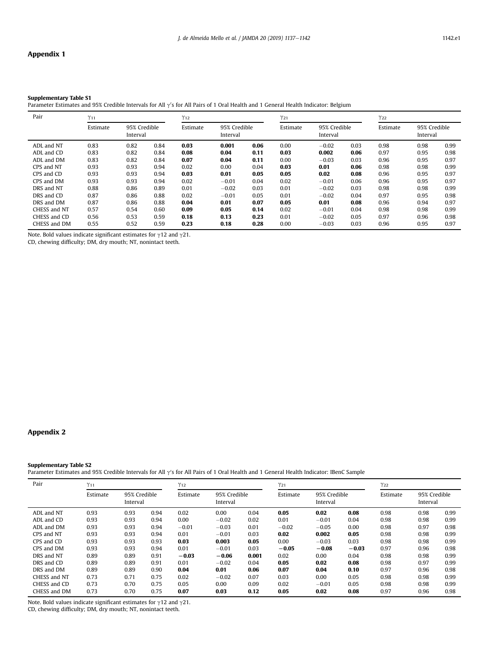# <span id="page-6-0"></span>Supplementary Table S1

Parameter Estimates and 95% Credible Intervals for All y's for All Pairs of 1 Oral Health and 1 General Health Indicator: Belgium<br>.

| Pair         | $Y_{11}$ |                          | $\gamma_{12}$ |          |                          | $\gamma_{21}$ |          |                          | $\gamma_{22}$ |          |                          |      |
|--------------|----------|--------------------------|---------------|----------|--------------------------|---------------|----------|--------------------------|---------------|----------|--------------------------|------|
|              | Estimate | 95% Credible<br>Interval |               | Estimate | 95% Credible<br>Interval |               | Estimate | 95% Credible<br>Interval |               | Estimate | 95% Credible<br>Interval |      |
| ADL and NT   | 0.83     | 0.82                     | 0.84          | 0.03     | 0.001                    | 0.06          | 0.00     | $-0.02$                  | 0.03          | 0.98     | 0.98                     | 0.99 |
| ADL and CD   | 0.83     | 0.82                     | 0.84          | 0.08     | 0.04                     | 0.11          | 0.03     | 0.002                    | 0.06          | 0.97     | 0.95                     | 0.98 |
| ADL and DM   | 0.83     | 0.82                     | 0.84          | 0.07     | 0.04                     | 0.11          | 0.00     | $-0.03$                  | 0.03          | 0.96     | 0.95                     | 0.97 |
| CPS and NT   | 0.93     | 0.93                     | 0.94          | 0.02     | 0.00                     | 0.04          | 0.03     | 0.01                     | 0.06          | 0.98     | 0.98                     | 0.99 |
| CPS and CD   | 0.93     | 0.93                     | 0.94          | 0.03     | 0.01                     | 0.05          | 0.05     | 0.02                     | 0.08          | 0.96     | 0.95                     | 0.97 |
| CPS and DM   | 0.93     | 0.93                     | 0.94          | 0.02     | $-0.01$                  | 0.04          | 0.02     | $-0.01$                  | 0.06          | 0.96     | 0.95                     | 0.97 |
| DRS and NT   | 0.88     | 0.86                     | 0.89          | 0.01     | $-0.02$                  | 0.03          | 0.01     | $-0.02$                  | 0.03          | 0.98     | 0.98                     | 0.99 |
| DRS and CD   | 0.87     | 0.86                     | 0.88          | 0.02     | $-0.01$                  | 0.05          | 0.01     | $-0.02$                  | 0.04          | 0.97     | 0.95                     | 0.98 |
| DRS and DM   | 0.87     | 0.86                     | 0.88          | 0.04     | 0.01                     | 0.07          | 0.05     | 0.01                     | 0.08          | 0.96     | 0.94                     | 0.97 |
| CHESS and NT | 0.57     | 0.54                     | 0.60          | 0.09     | 0.05                     | 0.14          | 0.02     | $-0.01$                  | 0.04          | 0.98     | 0.98                     | 0.99 |
| CHESS and CD | 0.56     | 0.53                     | 0.59          | 0.18     | 0.13                     | 0.23          | 0.01     | $-0.02$                  | 0.05          | 0.97     | 0.96                     | 0.98 |
| CHESS and DM | 0.55     | 0.52                     | 0.59          | 0.23     | 0.18                     | 0.28          | 0.00     | $-0.03$                  | 0.03          | 0.96     | 0.95                     | 0.97 |

Note. Bold values indicate significant estimates for  $\gamma$ 12 and  $\gamma$ 21.<br>CD, chewing difficulty; DM, dry mouth; NT, nonintact teeth.

# Appendix 2

# Supplementary Table S2

Parameter Estimates and 95% Credible Intervals for All  $\gamma'$ s for All Pairs of 1 Oral Health and 1 General Health Indicator: IBenC Sample

| Pair         | $\gamma_{11}$ |                          | $Y_{12}$ |          |                          |       | $\gamma_{21}$ |                          | $Y_{22}$ |                                      |      |      |
|--------------|---------------|--------------------------|----------|----------|--------------------------|-------|---------------|--------------------------|----------|--------------------------------------|------|------|
|              | Estimate      | 95% Credible<br>Interval |          | Estimate | 95% Credible<br>Interval |       | Estimate      | 95% Credible<br>Interval |          | Estimate<br>95% Credible<br>Interval |      |      |
| ADL and NT   | 0.93          | 0.93                     | 0.94     | 0.02     | 0.00                     | 0.04  | 0.05          | 0.02                     | 0.08     | 0.98                                 | 0.98 | 0.99 |
| ADL and CD   | 0.93          | 0.93                     | 0.94     | 0.00     | $-0.02$                  | 0.02  | 0.01          | $-0.01$                  | 0.04     | 0.98                                 | 0.98 | 0.99 |
| ADL and DM   | 0.93          | 0.93                     | 0.94     | $-0.01$  | $-0.03$                  | 0.01  | $-0.02$       | $-0.05$                  | 0.00     | 0.98                                 | 0.97 | 0.98 |
| CPS and NT   | 0.93          | 0.93                     | 0.94     | 0.01     | $-0.01$                  | 0.03  | 0.02          | 0.002                    | 0.05     | 0.98                                 | 0.98 | 0.99 |
| CPS and CD   | 0.93          | 0.93                     | 0.93     | 0.03     | 0.003                    | 0.05  | 0.00          | $-0.03$                  | 0.03     | 0.98                                 | 0.98 | 0.99 |
| CPS and DM   | 0.93          | 0.93                     | 0.94     | 0.01     | $-0.01$                  | 0.03  | $-0.05$       | $-0.08$                  | $-0.03$  | 0.97                                 | 0.96 | 0.98 |
| DRS and NT   | 0.89          | 0.89                     | 0.91     | $-0.03$  | $-0.06$                  | 0.001 | 0.02          | 0.00                     | 0.04     | 0.98                                 | 0.98 | 0.99 |
| DRS and CD   | 0.89          | 0.89                     | 0.91     | 0.01     | $-0.02$                  | 0.04  | 0.05          | 0.02                     | 0.08     | 0.98                                 | 0.97 | 0.99 |
| DRS and DM   | 0.89          | 0.89                     | 0.90     | 0.04     | 0.01                     | 0.06  | 0.07          | 0.04                     | 0.10     | 0.97                                 | 0.96 | 0.98 |
| CHESS and NT | 0.73          | 0.71                     | 0.75     | 0.02     | $-0.02$                  | 0.07  | 0.03          | 0.00                     | 0.05     | 0.98                                 | 0.98 | 0.99 |
| CHESS and CD | 0.73          | 0.70                     | 0.75     | 0.05     | 0.00                     | 0.09  | 0.02          | $-0.01$                  | 0.05     | 0.98                                 | 0.98 | 0.99 |
| CHESS and DM | 0.73          | 0.70                     | 0.75     | 0.07     | 0.03                     | 0.12  | 0.05          | 0.02                     | 0.08     | 0.97                                 | 0.96 | 0.98 |

Note. Bold values indicate significant estimates for  $\gamma$ 12 and  $\gamma$ 21.

CD, chewing difficulty; DM, dry mouth; NT, nonintact teeth.